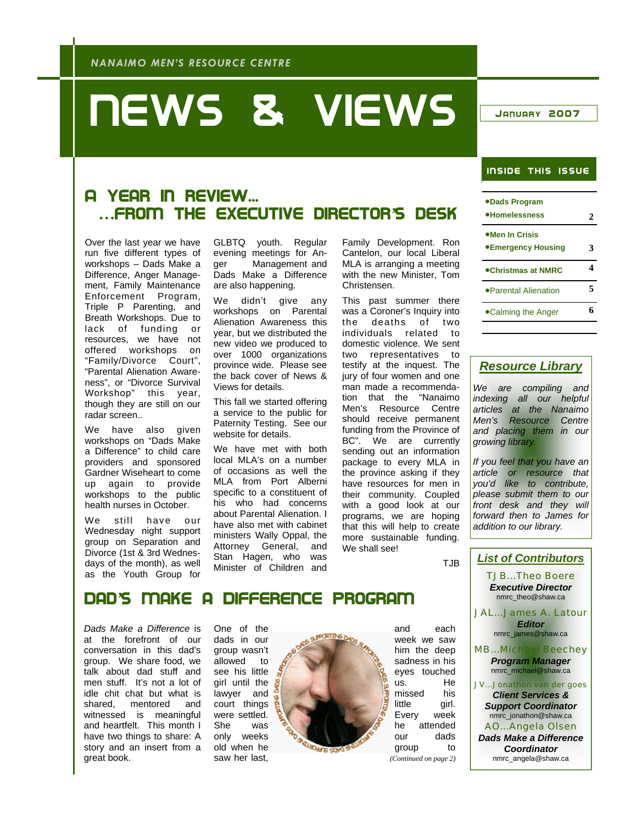# **NEWS & VIEWS JANUARY 2007**

# A Year in review... **…**from the executive director**'**s desk

Over the last year we have run five different types of workshops – Dads Make a Difference, Anger Management, Family Maintenance Enforcement Program, Triple P Parenting, and Breath Workshops. Due to lack of funding or resources, we have not offered workshops on "Family/Divorce Court", "Parental Alienation Awareness", or "Divorce Survival Workshop" this year, though they are still on our radar screen..

We have also given workshops on "Dads Make a Difference" to child care providers and sponsored Gardner Wiseheart to come up again to provide workshops to the public health nurses in October.

We still have our Wednesday night support group on Separation and Divorce (1st & 3rd Wednesdays of the month), as well as the Youth Group for

GLBTQ youth. Regular evening meetings for Anger Management and Dads Make a Difference are also happening.

We didn't give any workshops on Parental Alienation Awareness this year, but we distributed the new video we produced to over 1000 organizations province wide. Please see the back cover of News & Views for details.

This fall we started offering a service to the public for Paternity Testing. See our website for details.

We have met with both local MLA's on a number of occasions as well the MLA from Port Alberni specific to a constituent of his who had concerns about Parental Alienation. I have also met with cabinet ministers Wally Oppal, the Attorney General, and Stan Hagen, who was Minister of Children and

Family Development. Ron Cantelon, our local Liberal MLA is arranging a meeting with the new Minister, Tom Christensen.

This past summer there was a Coroner's Inquiry into the deaths of two individuals related to domestic violence. We sent two representatives to testify at the inquest. The jury of four women and one man made a recommendation that the "Nanaimo Men's Resource Centre should receive permanent funding from the Province of BC". We are currently sending out an information package to every MLA in the province asking if they have resources for men in their community. Coupled with a good look at our programs, we are hoping that this will help to create more sustainable funding. We shall see!

#### INSIDE THIS ISSUE

| ●Dads Program<br><b>•Homelessness</b>       |  |
|---------------------------------------------|--|
| <b>.Men In Crisis</b><br>●Emergency Housing |  |
| ●Christmas at NMRC                          |  |
| ● Parental Alienation                       |  |
| •Calming the Anger                          |  |
|                                             |  |

## *Resource Library*

*We are compiling and indexing all our helpful articles at the Nanaimo Men's Resource Centre and placing them in our growing library.* 

*If you feel that you have an article or resource that you'd like to contribute, please submit them to our front desk and they will forward then to James for addition to our library.* 

TJB

# Dad**'**s Make a Difference Program

*Dads Make a Difference* is at the forefront of our conversation in this dad's group. We share food, we talk about dad stuff and men stuff. It's not a lot of idle chit chat but what is shared, mentored and witnessed is meaningful and heartfelt. This month I have two things to share: A story and an insert from a great book.

One of the dads in our group wasn't allowed to see his little girl until the lawyer and court things were settled. She was only weeks old when he saw her last,



and each week we saw him the deep sadness in his eyes touched us. He missed his little girl. Every week he attended our dads group to *(Continued on page 2)* 

#### *List of Contributors*

TJB...Theo Boere *Executive Director*  nmrc\_theo@shaw.ca

JAL...James A. Latour *Editor*  nmrc\_james@shaw.ca

MB...Michael Beechey *Program Manager*  nmrc\_michael@shaw.ca

JV...Jonathon van der goes *Client Services & Support Coordinator*  nmrc\_jonathon@shaw.ca

AO...Angela Olsen *Dads Make a Difference Coordinator* nmrc\_angela@shaw.ca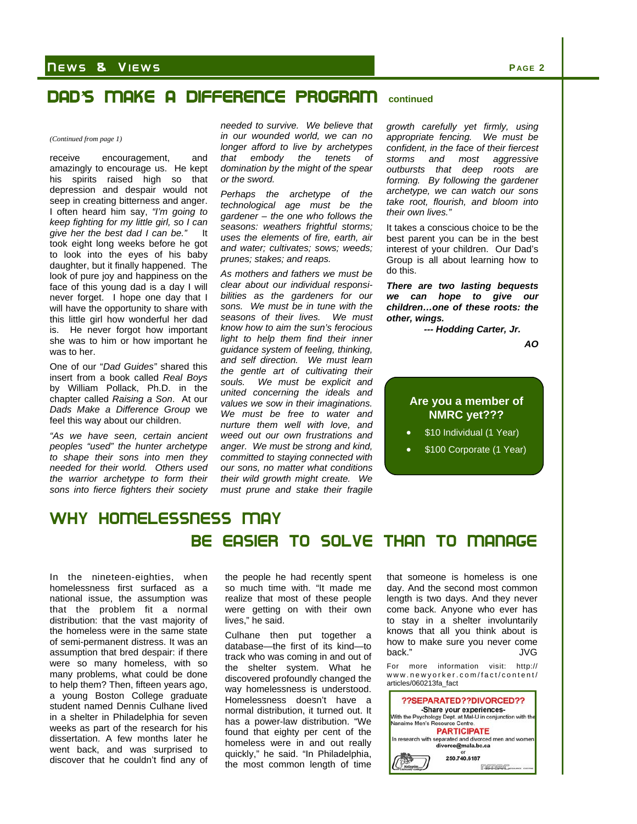## **NEWS & VIEWS PAGE 2**

# Dad**'**s Make a Difference Program **continued**

#### *(Continued from page 1)*

receive encouragement, and amazingly to encourage us. He kept his spirits raised high so that depression and despair would not seep in creating bitterness and anger. I often heard him say, *"I'm going to keep fighting for my little girl, so I can give her the best dad I can be."* It took eight long weeks before he got to look into the eyes of his baby daughter, but it finally happened. The look of pure joy and happiness on the face of this young dad is a day I will never forget. I hope one day that I will have the opportunity to share with this little girl how wonderful her dad is. He never forgot how important she was to him or how important he was to her.

One of our "*Dad Guides"* shared this insert from a book called *Real Boys* by William Pollack, Ph.D. in the chapter called *Raising a Son*. At our *Dads Make a Difference Group* we feel this way about our children.

*"As we have seen, certain ancient peoples "used" the hunter archetype to shape their sons into men they needed for their world. Others used the warrior archetype to form their sons into fierce fighters their society* 

*needed to survive. We believe that in our wounded world, we can no longer afford to live by archetypes that embody the tenets of domination by the might of the spear or the sword.* 

*Perhaps the archetype of the technological age must be the gardener – the one who follows the seasons: weathers frightful storms; uses the elements of fire, earth, air and water; cultivates; sows; weeds; prunes; stakes; and reaps.* 

*As mothers and fathers we must be clear about our individual responsibilities as the gardeners for our sons. We must be in tune with the seasons of their lives. We must know how to aim the sun's ferocious light to help them find their inner guidance system of feeling, thinking, and self direction. We must learn the gentle art of cultivating their souls. We must be explicit and united concerning the ideals and values we sow in their imaginations. We must be free to water and nurture them well with love, and weed out our own frustrations and anger. We must be strong and kind, committed to staying connected with our sons, no matter what conditions their wild growth might create. We must prune and stake their fragile* 

*growth carefully yet firmly, using appropriate fencing. We must be confident, in the face of their fiercest storms and most aggressive outbursts that deep roots are forming. By following the gardener archetype, we can watch our sons take root, flourish, and bloom into their own lives."* 

It takes a conscious choice to be the best parent you can be in the best interest of your children. Our Dad's Group is all about learning how to do this.

*There are two lasting bequests we can hope to give our children…one of these roots: the other, wings.* 

 *--- Hodding Carter, Jr.* 

*AO* 

#### **Are you a member of NMRC yet???**

\$10 Individual (1 Year)

\$100 Corporate (1 Year)

# Why homelessness May be easier to solve than to manage

In the nineteen-eighties, when homelessness first surfaced as a national issue, the assumption was that the problem fit a normal distribution: that the vast majority of the homeless were in the same state of semi-permanent distress. It was an assumption that bred despair: if there were so many homeless, with so many problems, what could be done to help them? Then, fifteen years ago, a young Boston College graduate student named Dennis Culhane lived in a shelter in Philadelphia for seven weeks as part of the research for his dissertation. A few months later he went back, and was surprised to discover that he couldn't find any of

the people he had recently spent so much time with. "It made me realize that most of these people were getting on with their own lives," he said.

Culhane then put together a database—the first of its kind—to track who was coming in and out of the shelter system. What he discovered profoundly changed the way homelessness is understood. Homelessness doesn't have a normal distribution, it turned out. It has a power-law distribution. "We found that eighty per cent of the homeless were in and out really quickly," he said. "In Philadelphia, the most common length of time

that someone is homeless is one day. And the second most common length is two days. And they never come back. Anyone who ever has to stay in a shelter involuntarily knows that all you think about is how to make sure you never come back." JVG

For more information visit: http:// www.newyorker.com/fact/content/ articles/060213fa\_fact

|                                | ??SEPARATED??DIVORCED??                                                     |
|--------------------------------|-----------------------------------------------------------------------------|
|                                | -Share your experiences-                                                    |
|                                | With the Psychology Dept. at Mal-U in conjunction with the                  |
| Nanaimo Men's Resource Centre. |                                                                             |
|                                | <b>PARTICIPATE</b>                                                          |
|                                | In research with separated and divorced men and women<br>divorce@mala.bc.ca |
|                                |                                                                             |
|                                | 250.740.6187                                                                |
|                                |                                                                             |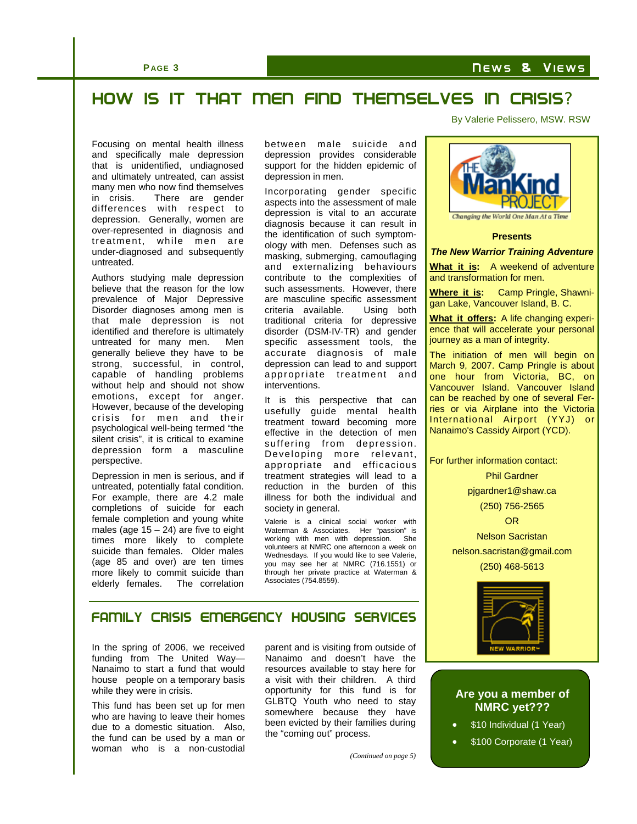# HOW IS IT THAT MEN FIND THEMSELVES IN CRISIS?

Focusing on mental health illness and specifically male depression that is unidentified, undiagnosed and ultimately untreated, can assist many men who now find themselves in crisis. There are gender differences with respect to depression. Generally, women are over-represented in diagnosis and treatment, while men are under-diagnosed and subsequently untreated.

Authors studying male depression believe that the reason for the low prevalence of Major Depressive Disorder diagnoses among men is that male depression is not identified and therefore is ultimately untreated for many men. Men generally believe they have to be strong, successful, in control, capable of handling problems without help and should not show emotions, except for anger. However, because of the developing crisis for men and their psychological well-being termed "the silent crisis", it is critical to examine depression form a masculine perspective.

Depression in men is serious, and if untreated, potentially fatal condition. For example, there are 4.2 male completions of suicide for each female completion and young white males (age  $15 - 24$ ) are five to eight times more likely to complete suicide than females. Older males (age 85 and over) are ten times more likely to commit suicide than<br>elderly females. The correlation elderly females.

between male suicide and depression provides considerable support for the hidden epidemic of depression in men.

Incorporating gender specific aspects into the assessment of male depression is vital to an accurate diagnosis because it can result in the identification of such symptomology with men. Defenses such as masking, submerging, camouflaging and externalizing behaviours contribute to the complexities of such assessments. However, there are masculine specific assessment criteria available. Using both traditional criteria for depressive disorder (DSM-IV-TR) and gender specific assessment tools, the accurate diagnosis of male depression can lead to and support appropriate treatment and interventions.

It is this perspective that can usefully guide mental health treatment toward becoming more effective in the detection of men suffering from depression. Developing more relevant, appropriate and efficacious treatment strategies will lead to a reduction in the burden of this illness for both the individual and society in general.

Valerie is a clinical social worker with Waterman & Associates. Her "passion" is working with men with depression. She volunteers at NMRC one afternoon a week on Wednesdays. If you would like to see Valerie, you may see her at NMRC (716.1551) or through her private practice at Waterman & Associates (754.8559).

## Family Crisis Emergency housing services

In the spring of 2006, we received funding from The United Way— Nanaimo to start a fund that would house people on a temporary basis while they were in crisis.

This fund has been set up for men who are having to leave their homes due to a domestic situation. Also, the fund can be used by a man or woman who is a non-custodial

parent and is visiting from outside of Nanaimo and doesn't have the resources available to stay here for a visit with their children. A third opportunity for this fund is for GLBTQ Youth who need to stay somewhere because they have been evicted by their families during the "coming out" process.

*(Continued on page 5)* 

By Valerie Pelissero, MSW. RSW



#### **Presents**

*The New Warrior Training Adventure* 

**What it is:** A weekend of adventure and transformation for men.

**Where it is:** Camp Pringle, Shawnigan Lake, Vancouver Island, B. C.

**What it offers:** A life changing experience that will accelerate your personal journey as a man of integrity.

The initiation of men will begin on March 9, 2007. Camp Pringle is about one hour from Victoria, BC, on Vancouver Island. Vancouver Island can be reached by one of several Ferries or via Airplane into the Victoria International Airport (YYJ) or Nanaimo's Cassidy Airport (YCD).

For further information contact:

Phil Gardner pjgardner1@shaw.ca

(250) 756-2565

OR

Nelson Sacristan

nelson.sacristan@gmail.com (250) 468-5613



#### **Are you a member of NMRC yet???**

- \$10 Individual (1 Year)
- \$100 Corporate (1 Year)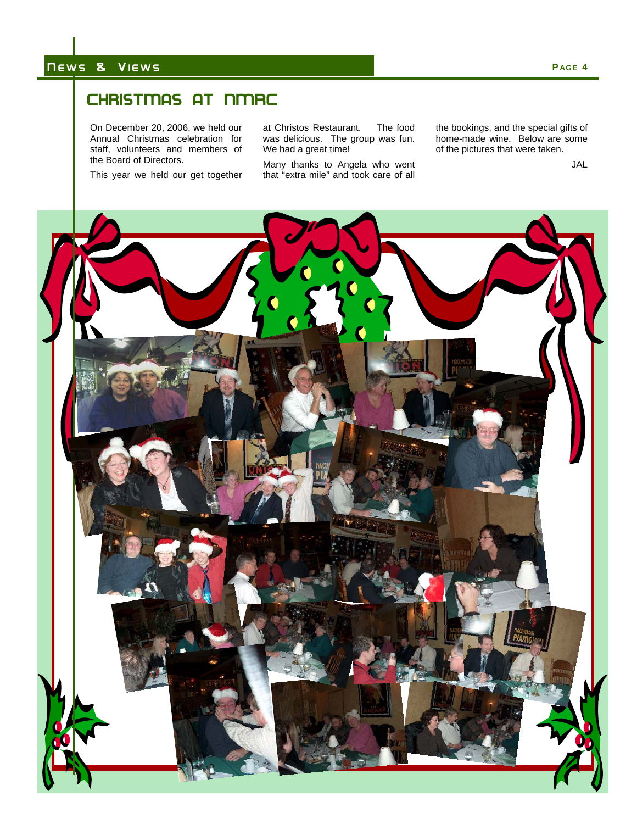#### **NEWS & VIEWS PAGE 4**

# CHRISTMAS AT NMRC

On December 20, 2006, we held our Annual Christmas celebration for staff, volunteers and members of the Board of Directors.

This year we held our get together

at Christos Restaurant. The food was delicious. The group was fun. We had a great time!

Many thanks to Angela who went that "extra mile" and took care of all

the bookings, and the special gifts of home-made wine. Below are some of the pictures that were taken.

JAL

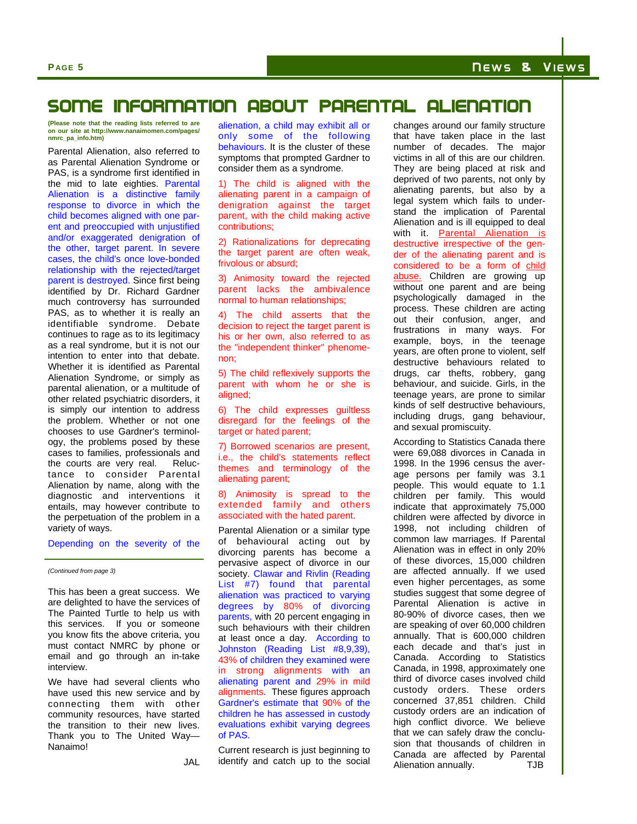# SOME INFORMATION ABOUT PARENTAL ALIENATION

**(Please note that the reading lists referred to are on our site at http://www.nanaimomen.com/pages/ nmrc\_pa\_info.htm)** 

Parental Alienation, also referred to as Parental Alienation Syndrome or PAS, is a syndrome first identified in the mid to late eighties. Parental Alienation is a distinctive family response to divorce in which the child becomes aligned with one parent and preoccupied with unjustified and/or exaggerated denigration of the other, target parent. In severe cases, the child's once love-bonded relationship with the rejected/target parent is destroyed. Since first being identified by Dr. Richard Gardner much controversy has surrounded PAS, as to whether it is really an identifiable syndrome. Debate continues to rage as to its legitimacy as a real syndrome, but it is not our intention to enter into that debate. Whether it is identified as Parental Alienation Syndrome, or simply as parental alienation, or a multitude of other related psychiatric disorders, it is simply our intention to address the problem. Whether or not one chooses to use Gardner's terminology, the problems posed by these cases to families, professionals and the courts are very real. Reluctance to consider Parental Alienation by name, along with the diagnostic and interventions it entails, may however contribute to the perpetuation of the problem in a variety of ways.

Depending on the severity of the

*(Continued from page 3)* 

This has been a great success. We are delighted to have the services of The Painted Turtle to help us with this services. If you or someone you know fits the above criteria, you must contact NMRC by phone or email and go through an in-take interview.

We have had several clients who have used this new service and by connecting them with other community resources, have started the transition to their new lives. Thank you to The United Way— Nanaimo!

alienation, a child may exhibit all or only some of the following behaviours. It is the cluster of these symptoms that prompted Gardner to consider them as a syndrome.

1) The child is aligned with the alienating parent in a campaign of denigration against the target parent, with the child making active contributions;

2) Rationalizations for deprecating the target parent are often weak, frivolous or absurd;

3) Animosity toward the rejected parent lacks the ambivalence normal to human relationships;

4) The child asserts that the decision to reject the target parent is his or her own, also referred to as the "independent thinker" phenomenon;

5) The child reflexively supports the parent with whom he or she is aligned;

6) The child expresses guiltless disregard for the feelings of the target or hated parent:

7) Borrowed scenarios are present, i.e., the child's statements reflect themes and terminology of the alienating parent;

8) Animosity is spread to the extended family and others associated with the hated parent.

Parental Alienation or a similar type of behavioural acting out by divorcing parents has become a pervasive aspect of divorce in our society. Clawar and Rivlin (Reading List #7) found that parental alienation was practiced to varying degrees by 80% of divorcing parents, with 20 percent engaging in such behaviours with their children at least once a day. According to Johnston (Reading List #8,9,39), 43% of children they examined were in strong alignments with an alienating parent and 29% in mild alignments. These figures approach Gardner's estimate that 90% of the children he has assessed in custody evaluations exhibit varying degrees of PAS.

Current research is just beginning to identify and catch up to the social

changes around our family structure that have taken place in the last number of decades. The major victims in all of this are our children. They are being placed at risk and deprived of two parents, not only by alienating parents, but also by a legal system which fails to understand the implication of Parental Alienation and is ill equipped to deal with it. Parental Alienation is destructive irrespective of the gender of the alienating parent and is considered to be a form of child abuse. Children are growing up without one parent and are being psychologically damaged in the process. These children are acting out their confusion, anger, and frustrations in many ways. For example, boys, in the teenage years, are often prone to violent, self destructive behaviours related to drugs, car thefts, robbery, gang behaviour, and suicide. Girls, in the teenage years, are prone to similar kinds of self destructive behaviours, including drugs, gang behaviour, and sexual promiscuity.

According to Statistics Canada there were 69,088 divorces in Canada in 1998. In the 1996 census the average persons per family was 3.1 people. This would equate to 1.1 children per family. This would indicate that approximately 75,000 children were affected by divorce in 1998, not including children of common law marriages. If Parental Alienation was in effect in only 20% of these divorces, 15,000 children are affected annually. If we used even higher percentages, as some studies suggest that some degree of Parental Alienation is active in 80-90% of divorce cases, then we are speaking of over 60,000 children annually. That is 600,000 children each decade and that's just in Canada. According to Statistics Canada, in 1998, approximately one third of divorce cases involved child custody orders. These orders concerned 37,851 children. Child custody orders are an indication of high conflict divorce. We believe that we can safely draw the conclusion that thousands of children in Canada are affected by Parental Alienation annually. TJB